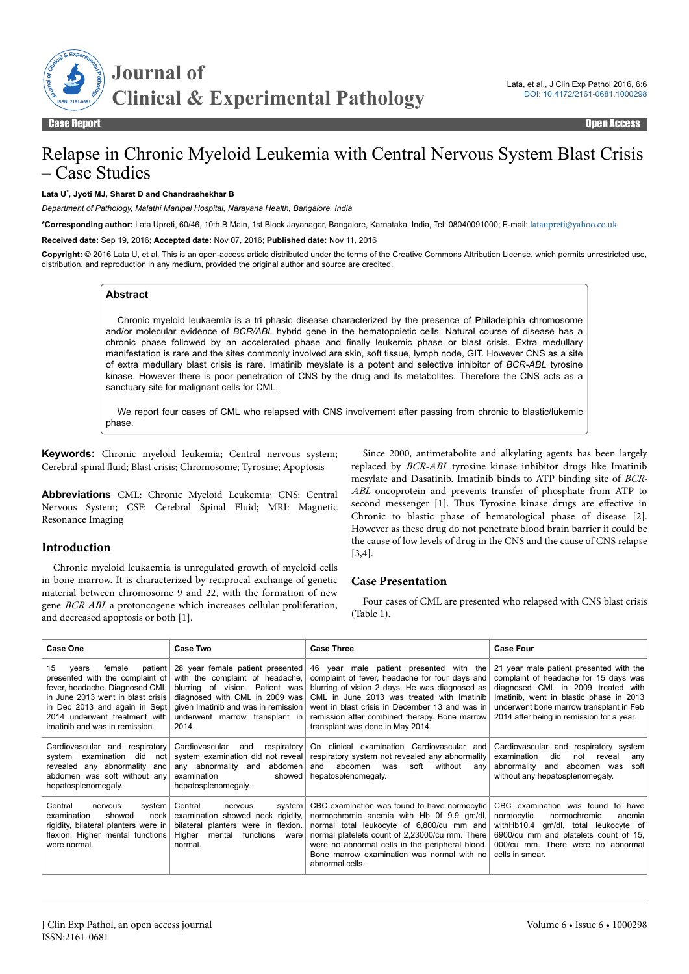

# Relapse in Chronic Myeloid Leukemia with Central Nervous System Blast Crisis – Case Studies

#### **Lata U**\* **, Jyoti MJ, Sharat D and Chandrashekhar B**

*Department of Pathology, Malathi Manipal Hospital, Narayana Health, Bangalore, India*

**\*Corresponding author:** Lata Upreti, 60/46, 10th B Main, 1st Block Jayanagar, Bangalore, Karnataka, India, Tel: 08040091000; E-mail: [lataupreti@yahoo.co.uk](mailto:lataupreti@yahoo.co.uk)

**Received date:** Sep 19, 2016; **Accepted date:** Nov 07, 2016; **Published date:** Nov 11, 2016

**Copyright:** © 2016 Lata U, et al. This is an open-access article distributed under the terms of the Creative Commons Attribution License, which permits unrestricted use, distribution, and reproduction in any medium, provided the original author and source are credited.

#### **Abstract**

Chronic myeloid leukaemia is a tri phasic disease characterized by the presence of Philadelphia chromosome and/or molecular evidence of *BCR/ABL* hybrid gene in the hematopoietic cells. Natural course of disease has a chronic phase followed by an accelerated phase and finally leukemic phase or blast crisis. Extra medullary manifestation is rare and the sites commonly involved are skin, soft tissue, lymph node, GIT. However CNS as a site of extra medullary blast crisis is rare. Imatinib meyslate is a potent and selective inhibitor of *BCR-ABL* tyrosine kinase. However there is poor penetration of CNS by the drug and its metabolites. Therefore the CNS acts as a sanctuary site for malignant cells for CML.

We report four cases of CML who relapsed with CNS involvement after passing from chronic to blastic/lukemic phase.

**Keywords:** Chronic myeloid leukemia; Central nervous system; Cerebral spinal fluid; Blast crisis; Chromosome; Tyrosine; Apoptosis

**Abbreviations** CML: Chronic Myeloid Leukemia; CNS: Central Nervous System; CSF: Cerebral Spinal Fluid; MRI: Magnetic Resonance Imaging

## **Introduction**

Chronic myeloid leukaemia is unregulated growth of myeloid cells in bone marrow. It is characterized by reciprocal exchange of genetic material between chromosome 9 and 22, with the formation of new gene BCR-ABL a protoncogene which increases cellular proliferation, and decreased apoptosis or both [1].

Since 2000, antimetabolite and alkylating agents has been largely replaced by BCR-ABL tyrosine kinase inhibitor drugs like Imatinib mesylate and Dasatinib. Imatinib binds to ATP binding site of BCR-ABL oncoprotein and prevents transfer of phosphate from ATP to second messenger [1]. Thus Tyrosine kinase drugs are effective in Chronic to blastic phase of hematological phase of disease [2]. However as these drug do not penetrate blood brain barrier it could be the cause of low levels of drug in the CNS and the cause of CNS relapse [3,4].

## **Case Presentation**

Four cases of CML are presented who relapsed with CNS blast crisis (Table 1).

| <b>Case One</b>                                                                                                                                                                                                                                  | <b>Case Two</b>                                                                                                                                                                                                            | <b>Case Three</b>                                                                                                                                                                                                                                                                                                                | <b>Case Four</b>                                                                                                                                                                                                                                          |
|--------------------------------------------------------------------------------------------------------------------------------------------------------------------------------------------------------------------------------------------------|----------------------------------------------------------------------------------------------------------------------------------------------------------------------------------------------------------------------------|----------------------------------------------------------------------------------------------------------------------------------------------------------------------------------------------------------------------------------------------------------------------------------------------------------------------------------|-----------------------------------------------------------------------------------------------------------------------------------------------------------------------------------------------------------------------------------------------------------|
| 15<br>female<br>patient  <br>vears<br>presented with the complaint of<br>fever, headache. Diagnosed CML<br>in June 2013 went in blast crisis<br>in Dec 2013 and again in Sept<br>2014 underwent treatment with<br>imatinib and was in remission. | 28 year female patient presented<br>with the complaint of headache,<br>blurring of vision. Patient was<br>diagnosed with CML in 2009 was<br>given Imatinib and was in remission<br>underwent marrow transplant in<br>2014. | 46 year male patient presented with the<br>complaint of fever, headache for four days and<br>blurring of vision 2 days. He was diagnosed as<br>CML in June 2013 was treated with Imatinib<br>went in blast crisis in December 13 and was in<br>remission after combined therapy. Bone marrow<br>transplant was done in May 2014. | 21 year male patient presented with the<br>complaint of headache for 15 days was<br>diagnosed CML in 2009 treated with<br>Imatinib, went in blastic phase in 2013<br>underwent bone marrow transplant in Feb<br>2014 after being in remission for a year. |
| Cardiovascular and respiratory<br>examination<br>svstem<br>did<br>not l<br>revealed any abnormality<br>and<br>abdomen was soft without any<br>hepatosplenomegaly.                                                                                | Cardiovascular<br>respiratory<br>and<br>system examination did not reveal<br>any abnormality and<br>abdomen l<br>examination<br>showed<br>hepatosplenomegaly.                                                              | On clinical examination Cardiovascular and<br>respiratory system not revealed any abnormality<br>abdomen<br>soft<br>without<br>and<br>was<br>any<br>hepatosplenomegaly.                                                                                                                                                          | Cardiovascular and respiratory system<br>examination<br>did<br>not<br>reveal<br>any<br>abnormality<br>soft<br>and<br>abdomen was<br>without any hepatosplenomegaly.                                                                                       |
| Central<br>system  <br>nervous<br>examination<br>showed<br>neck<br>rigidity, bilateral planters were in<br>flexion. Higher mental functions<br>were normal.                                                                                      | Central<br>system<br>nervous<br>examination showed neck rigidity,<br>bilateral planters were in flexion.<br>Higher<br>mental<br>functions<br>were<br>normal.                                                               | CBC examination was found to have normocytic<br>normochromic anemia with Hb 0f 9.9 qm/dl,<br>normal total leukocyte of 6,800/cu mm and<br>normal platelets count of 2,23000/cu mm. There<br>were no abnormal cells in the peripheral blood.<br>Bone marrow examination was normal with no<br>abnormal cells.                     | CBC examination was found to have<br>normocytic<br>normochromic<br>anemia<br>withHb10.4<br>gm/dl, total leukocyte of<br>6900/cu mm and platelets count of 15,<br>000/cu mm. There were no abnormal<br>cells in smear.                                     |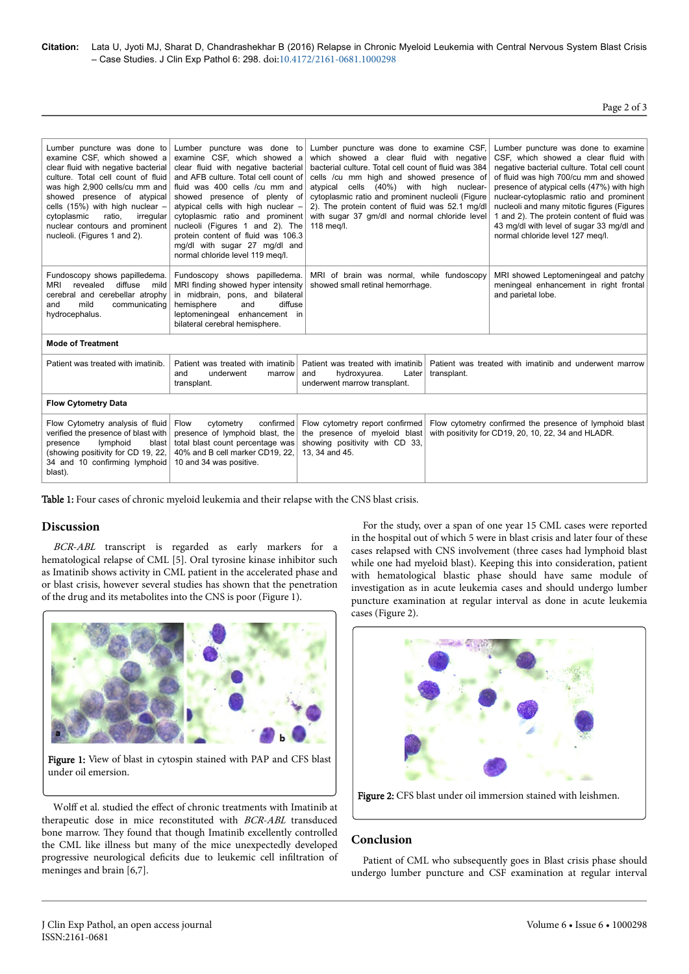**Citation:** Lata U, Jyoti MJ, Sharat D, Chandrashekhar B (2016) Relapse in Chronic Myeloid Leukemia with Central Nervous System Blast Crisis – Case Studies. J Clin Exp Pathol 6: 298. doi:10.4172/2161-0681.1000298

## Page 2 of 3

| Lumber puncture was done to<br>examine CSF, which showed a<br>clear fluid with negative bacterial<br>culture. Total cell count of fluid<br>was high 2,900 cells/cu mm and<br>showed presence of atypical<br>cells $(15%)$ with high nuclear $-$<br>cytoplasmic<br>ratio,<br>irregular<br>nuclear contours and prominent<br>nucleoli. (Figures 1 and 2). | Lumber puncture was done to<br>examine CSF, which showed a<br>clear fluid with negative bacterial<br>and AFB culture. Total cell count of<br>fluid was 400 cells /cu mm and<br>showed presence of plenty of<br>atypical cells with high nuclear -<br>cytoplasmic ratio and prominent<br>nucleoli (Figures 1 and 2). The<br>protein content of fluid was 106.3<br>mg/dl with sugar 27 mg/dl and<br>normal chloride level 119 meg/l. | Lumber puncture was done to examine CSF,<br>which showed a clear fluid with negative<br>bacterial culture. Total cell count of fluid was 384<br>cells /cu mm high and showed presence of<br>cells (40%) with high nuclear-<br>atypical<br>cytoplasmic ratio and prominent nucleoli (Figure<br>2). The protein content of fluid was 52.1 mg/dl<br>with sugar 37 gm/dl and normal chloride level<br>118 meg/l. |                                                                                                                | Lumber puncture was done to examine<br>CSF, which showed a clear fluid with<br>negative bacterial culture. Total cell count<br>of fluid was high 700/cu mm and showed<br>presence of atypical cells (47%) with high<br>nuclear-cytoplasmic ratio and prominent<br>nucleoli and many mitotic figures (Figures<br>1 and 2). The protein content of fluid was<br>43 mg/dl with level of sugar 33 mg/dl and<br>normal chloride level 127 meg/l. |  |  |
|---------------------------------------------------------------------------------------------------------------------------------------------------------------------------------------------------------------------------------------------------------------------------------------------------------------------------------------------------------|------------------------------------------------------------------------------------------------------------------------------------------------------------------------------------------------------------------------------------------------------------------------------------------------------------------------------------------------------------------------------------------------------------------------------------|--------------------------------------------------------------------------------------------------------------------------------------------------------------------------------------------------------------------------------------------------------------------------------------------------------------------------------------------------------------------------------------------------------------|----------------------------------------------------------------------------------------------------------------|---------------------------------------------------------------------------------------------------------------------------------------------------------------------------------------------------------------------------------------------------------------------------------------------------------------------------------------------------------------------------------------------------------------------------------------------|--|--|
| Fundoscopy shows papilledema.<br><b>MRI</b><br>diffuse<br>revealed<br>mild<br>cerebral and cerebellar atrophy<br>mild<br>and<br>communicating<br>hydrocephalus.                                                                                                                                                                                         | Fundoscopy shows papilledema.<br>MRI finding showed hyper intensity<br>in midbrain, pons, and bilateral<br>diffuse<br>hemisphere<br>and<br>leptomeningeal enhancement in<br>bilateral cerebral hemisphere.                                                                                                                                                                                                                         | MRI of brain was normal, while fundoscopy<br>showed small retinal hemorrhage.                                                                                                                                                                                                                                                                                                                                |                                                                                                                | MRI showed Leptomeningeal and patchy<br>meningeal enhancement in right frontal<br>and parietal lobe.                                                                                                                                                                                                                                                                                                                                        |  |  |
| <b>Mode of Treatment</b>                                                                                                                                                                                                                                                                                                                                |                                                                                                                                                                                                                                                                                                                                                                                                                                    |                                                                                                                                                                                                                                                                                                                                                                                                              |                                                                                                                |                                                                                                                                                                                                                                                                                                                                                                                                                                             |  |  |
| Patient was treated with imatinib.                                                                                                                                                                                                                                                                                                                      | Patient was treated with imatinib<br>and<br>underwent<br>marrow<br>transplant.                                                                                                                                                                                                                                                                                                                                                     | Patient was treated with imatinib<br>and<br>hydroxyurea.<br>Later<br>underwent marrow transplant.                                                                                                                                                                                                                                                                                                            | Patient was treated with imatinib and underwent marrow<br>transplant.                                          |                                                                                                                                                                                                                                                                                                                                                                                                                                             |  |  |
| <b>Flow Cytometry Data</b>                                                                                                                                                                                                                                                                                                                              |                                                                                                                                                                                                                                                                                                                                                                                                                                    |                                                                                                                                                                                                                                                                                                                                                                                                              |                                                                                                                |                                                                                                                                                                                                                                                                                                                                                                                                                                             |  |  |
| Flow Cytometry analysis of fluid<br>verified the presence of blast with<br>lymphoid<br>blast  <br>presence<br>(showing positivity for CD 19, 22,<br>34 and 10 confirming lymphoid<br>blast).                                                                                                                                                            | confirmed<br>Flow<br>cytometry<br>presence of lymphoid blast, the<br>total blast count percentage was<br>40% and B cell marker CD19, 22,<br>10 and 34 was positive.                                                                                                                                                                                                                                                                | Flow cytometry report confirmed<br>the presence of myeloid blast<br>showing positivity with CD 33,<br>13, 34 and 45.                                                                                                                                                                                                                                                                                         | Flow cytometry confirmed the presence of lymphoid blast<br>with positivity for CD19, 20, 10, 22, 34 and HLADR. |                                                                                                                                                                                                                                                                                                                                                                                                                                             |  |  |

Table 1: Four cases of chronic myeloid leukemia and their relapse with the CNS blast crisis.

#### **Discussion**

BCR-ABL transcript is regarded as early markers for a hematological relapse of CML [5]. Oral tyrosine kinase inhibitor such as Imatinib shows activity in CML patient in the accelerated phase and or blast crisis, however several studies has shown that the penetration of the drug and its metabolites into the CNS is poor (Figure 1).



Figure 1: View of blast in cytospin stained with PAP and CFS blast under oil emersion.

Wolff et al. studied the effect of chronic treatments with Imatinib at therapeutic dose in mice reconstituted with BCR-ABL transduced bone marrow. They found that though Imatinib excellently controlled the CML like illness but many of the mice unexpectedly developed progressive neurological deficits due to leukemic cell infiltration of meninges and brain [6,7].

For the study, over a span of one year 15 CML cases were reported in the hospital out of which 5 were in blast crisis and later four of these cases relapsed with CNS involvement (three cases had lymphoid blast while one had myeloid blast). Keeping this into consideration, patient with hematological blastic phase should have same module of investigation as in acute leukemia cases and should undergo lumber puncture examination at regular interval as done in acute leukemia cases (Figure 2).





## **Conclusion**

Patient of CML who subsequently goes in Blast crisis phase should undergo lumber puncture and CSF examination at regular interval